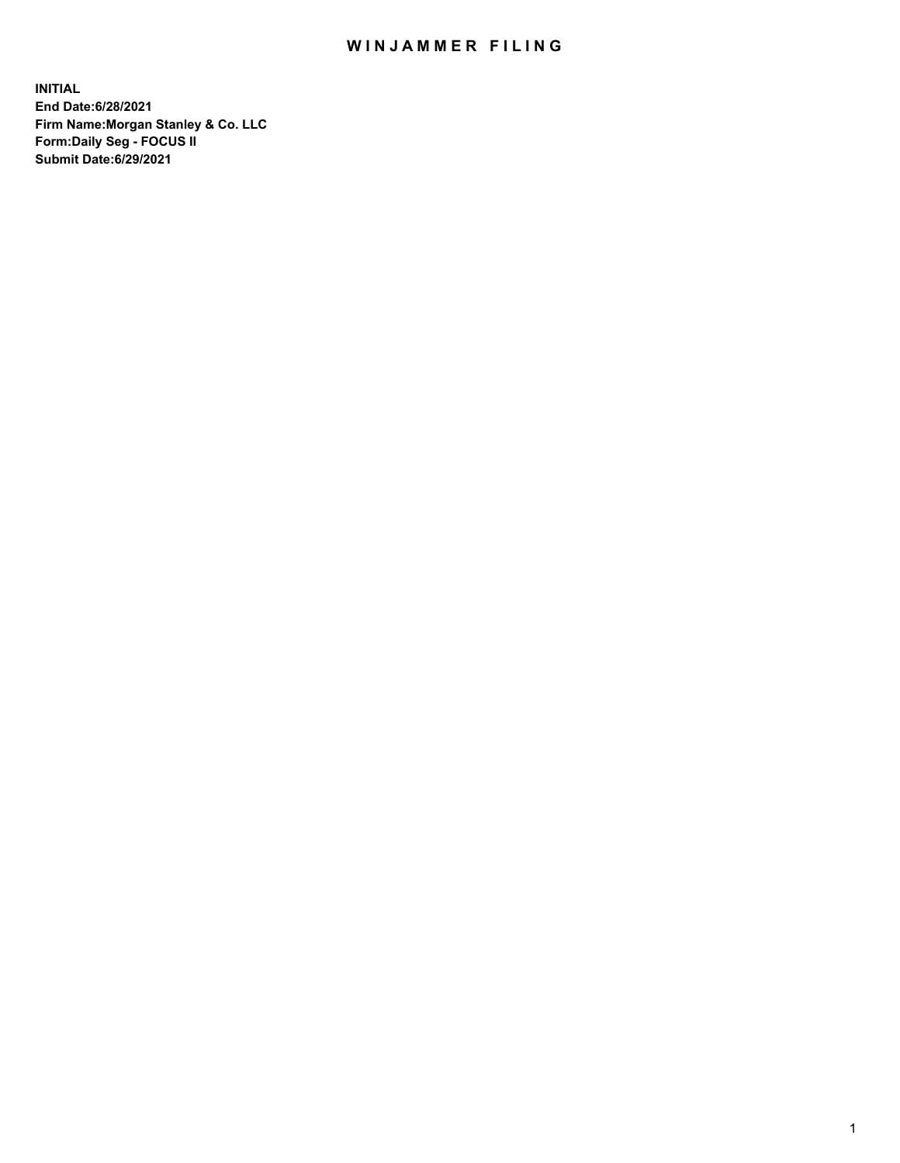## WIN JAMMER FILING

**INITIAL End Date:6/28/2021 Firm Name:Morgan Stanley & Co. LLC Form:Daily Seg - FOCUS II Submit Date:6/29/2021**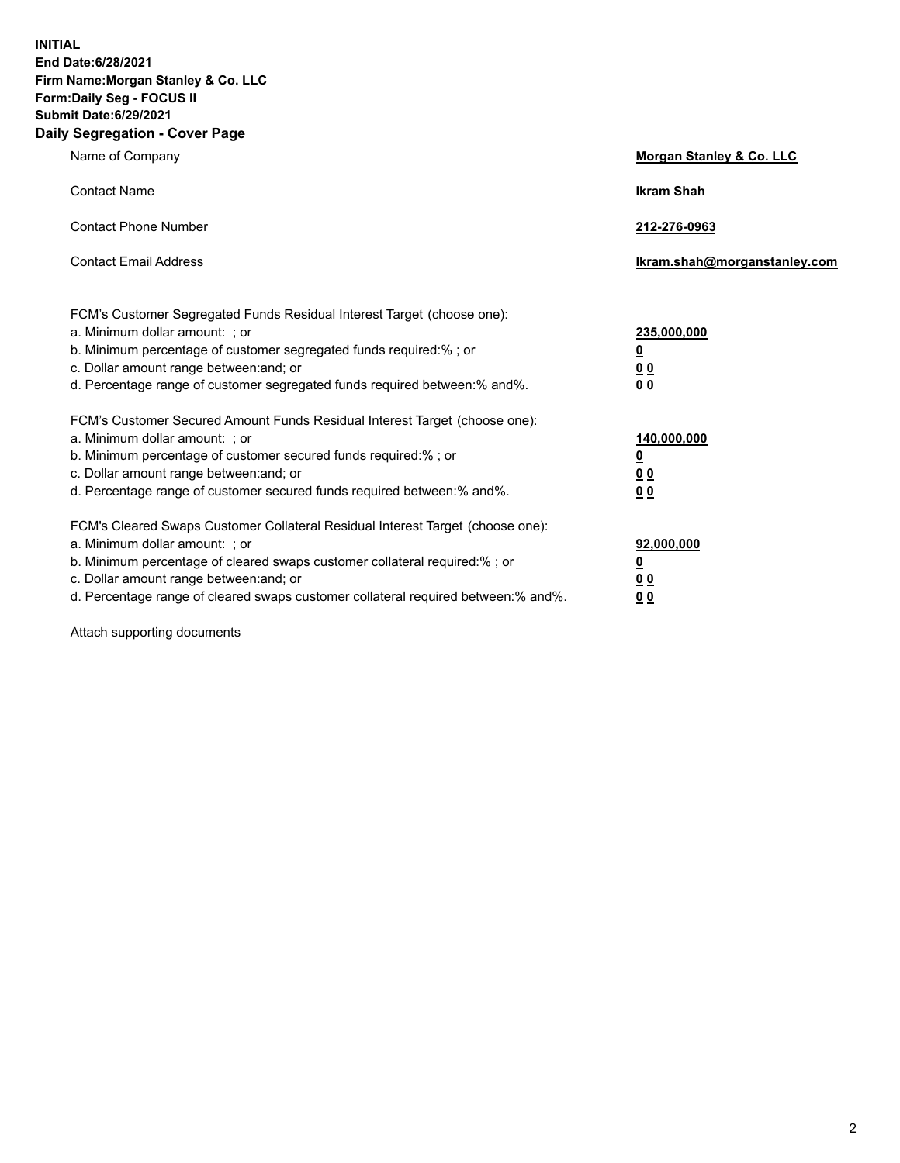**INITIAL End Date:6/28/2021 Firm Name:Morgan Stanley & Co. LLC Form:Daily Seg - FOCUS II Submit Date:6/29/2021 Daily Segregation - Cover Page**

| Name of Company                                                                                                                                                                                                                                                                                                                | Morgan Stanley & Co. LLC                               |
|--------------------------------------------------------------------------------------------------------------------------------------------------------------------------------------------------------------------------------------------------------------------------------------------------------------------------------|--------------------------------------------------------|
| <b>Contact Name</b>                                                                                                                                                                                                                                                                                                            | <b>Ikram Shah</b>                                      |
| <b>Contact Phone Number</b>                                                                                                                                                                                                                                                                                                    | 212-276-0963                                           |
| <b>Contact Email Address</b>                                                                                                                                                                                                                                                                                                   | Ikram.shah@morganstanley.com                           |
| FCM's Customer Segregated Funds Residual Interest Target (choose one):<br>a. Minimum dollar amount: ; or<br>b. Minimum percentage of customer segregated funds required:% ; or<br>c. Dollar amount range between: and; or<br>d. Percentage range of customer segregated funds required between: % and %.                       | 235,000,000<br><u>0</u><br>00<br>0 <sub>0</sub>        |
| FCM's Customer Secured Amount Funds Residual Interest Target (choose one):<br>a. Minimum dollar amount: ; or<br>b. Minimum percentage of customer secured funds required:% ; or<br>c. Dollar amount range between: and; or<br>d. Percentage range of customer secured funds required between:% and%.                           | 140,000,000<br><u>0</u><br><u>00</u><br>0 <sub>0</sub> |
| FCM's Cleared Swaps Customer Collateral Residual Interest Target (choose one):<br>a. Minimum dollar amount: ; or<br>b. Minimum percentage of cleared swaps customer collateral required:% ; or<br>c. Dollar amount range between: and; or<br>d. Percentage range of cleared swaps customer collateral required between:% and%. | 92,000,000<br><u>0</u><br><u>00</u><br>00              |

Attach supporting documents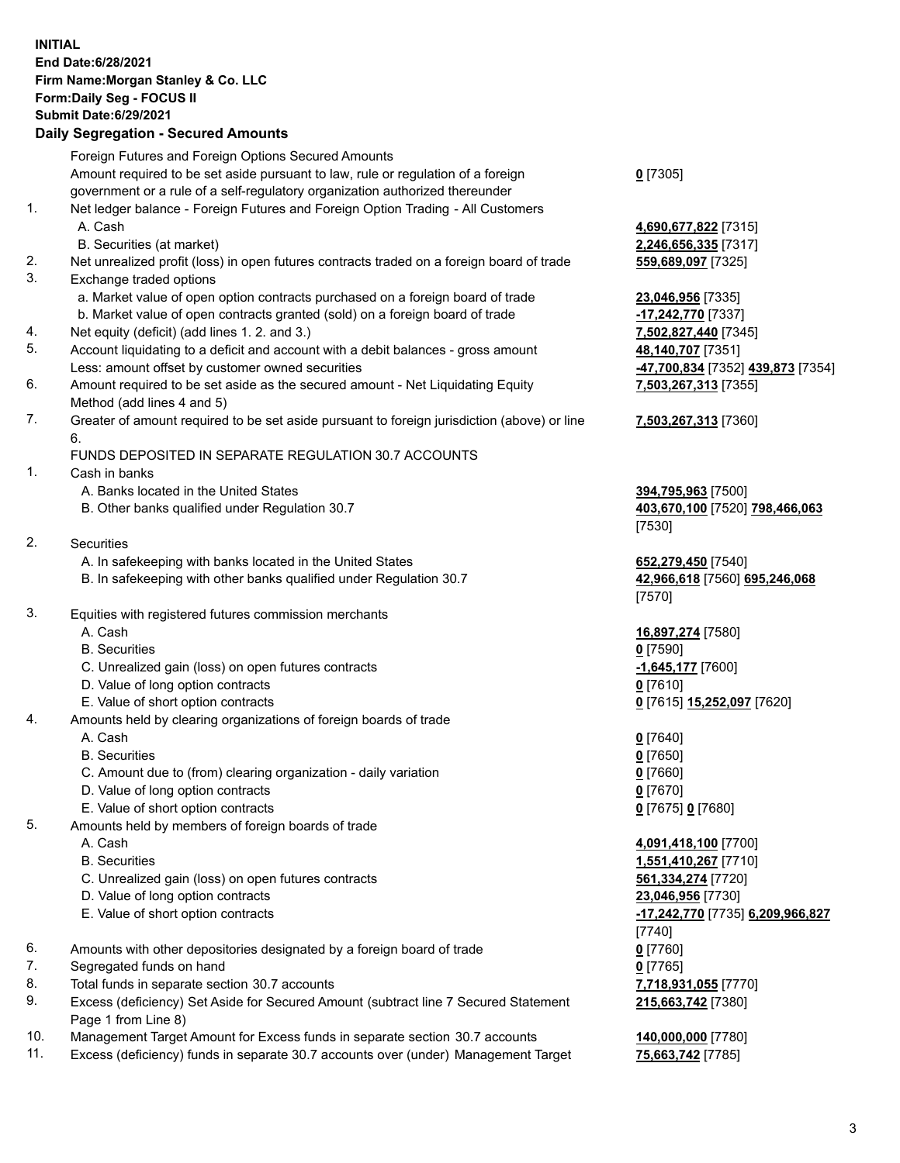## **INITIAL End Date:6/28/2021 Firm Name:Morgan Stanley & Co. LLC Form:Daily Seg - FOCUS II Submit Date:6/29/2021**

## **Daily Segregation - Secured Amounts**

|    | Foreign Futures and Foreign Options Secured Amounts                                         |                                                    |
|----|---------------------------------------------------------------------------------------------|----------------------------------------------------|
|    | Amount required to be set aside pursuant to law, rule or regulation of a foreign            | $0$ [7305]                                         |
|    | government or a rule of a self-regulatory organization authorized thereunder                |                                                    |
| 1. | Net ledger balance - Foreign Futures and Foreign Option Trading - All Customers             |                                                    |
|    | A. Cash                                                                                     | 4,690,677,822 [7315]                               |
|    | B. Securities (at market)                                                                   | 2,246,656,335 [7317]                               |
| 2. | Net unrealized profit (loss) in open futures contracts traded on a foreign board of trade   | 559,689,097 [7325]                                 |
| 3. | Exchange traded options                                                                     |                                                    |
|    | a. Market value of open option contracts purchased on a foreign board of trade              | 23,046,956 [7335]                                  |
|    | b. Market value of open contracts granted (sold) on a foreign board of trade                | -17,242,770 [7337]                                 |
| 4. | Net equity (deficit) (add lines 1.2. and 3.)                                                | 7,502,827,440 [7345]                               |
| 5. | Account liquidating to a deficit and account with a debit balances - gross amount           | 48,140,707 [7351]                                  |
|    | Less: amount offset by customer owned securities                                            | <mark>-47,700,834</mark> [7352] <b>439,873</b> [73 |
| 6. | Amount required to be set aside as the secured amount - Net Liquidating Equity              | 7,503,267,313 [7355]                               |
|    | Method (add lines 4 and 5)                                                                  |                                                    |
| 7. | Greater of amount required to be set aside pursuant to foreign jurisdiction (above) or line | 7,503,267,313 [7360]                               |
|    | 6.                                                                                          |                                                    |
|    | FUNDS DEPOSITED IN SEPARATE REGULATION 30.7 ACCOUNTS                                        |                                                    |
| 1. | Cash in banks                                                                               |                                                    |
|    | A. Banks located in the United States                                                       | 394,795,963 [7500]                                 |
|    | B. Other banks qualified under Regulation 30.7                                              | 403,670,100 [7520] 798,466,06                      |
|    |                                                                                             | [7530]                                             |
| 2. | <b>Securities</b>                                                                           |                                                    |
|    | A. In safekeeping with banks located in the United States                                   | 652,279,450 [7540]                                 |
|    | B. In safekeeping with other banks qualified under Regulation 30.7                          | 42,966,618 [7560] 695,246,068                      |
|    |                                                                                             | [7570]                                             |
| 3. | Equities with registered futures commission merchants                                       |                                                    |
|    | A. Cash                                                                                     | 16,897,274 [7580]                                  |
|    | <b>B.</b> Securities                                                                        | $0$ [7590]                                         |
|    | C. Unrealized gain (loss) on open futures contracts                                         | $-1,645,177$ [7600]                                |
|    | D. Value of long option contracts                                                           | $0$ [7610]                                         |
|    | E. Value of short option contracts                                                          | 0 [7615] 15,252,097 [7620]                         |
| 4. | Amounts held by clearing organizations of foreign boards of trade                           |                                                    |
|    | A. Cash                                                                                     | $0$ [7640]                                         |
|    | <b>B.</b> Securities                                                                        | $0$ [7650]                                         |
|    | C. Amount due to (from) clearing organization - daily variation                             | $0$ [7660]                                         |
|    | D. Value of long option contracts                                                           | $0$ [7670]                                         |
|    | E. Value of short option contracts                                                          | 0 [7675] 0 [7680]                                  |
| 5. | Amounts held by members of foreign boards of trade                                          |                                                    |
|    | A. Cash                                                                                     | 4,091,418,100 [7700]                               |
|    | <b>B.</b> Securities                                                                        | 1,551,410,267 [7710]                               |
|    | C. Unrealized gain (loss) on open futures contracts                                         | 561,334,274 [7720]                                 |
|    | D. Value of long option contracts                                                           | 23,046,956 [7730]                                  |
|    | E. Value of short option contracts                                                          | -17,242,770 [7735] 6,209,966,8                     |
|    |                                                                                             | $[7740]$                                           |
| 6. | Amounts with other depositories designated by a foreign board of trade                      | $0$ [7760]                                         |
| 7. | Segregated funds on hand                                                                    | $0$ [7765]                                         |
| 8. | Total funds in separate section 30.7 accounts                                               | 7,718,931,055 [7770]                               |
| 9. | Excess (deficiency) Set Aside for Secured Amount (subtract line 7 Secured Statement         | 215,663,742 [7380]                                 |
|    | Page 1 from Line 8)                                                                         |                                                    |

- 10. Management Target Amount for Excess funds in separate section 30.7 accounts **140,000,000** [7780]
- 11. Excess (deficiency) funds in separate 30.7 accounts over (under) Management Target 75,663,742 [7785]

Less: amount offset by customer owned securities **-47,700,834** [7352] **439,873** [7354] **55]** 

## 60]

B. Other Banks (0.83

 E. Value of short option contracts **-17,242,770** [7735] **6,209,966,827 215,663,742** [7380]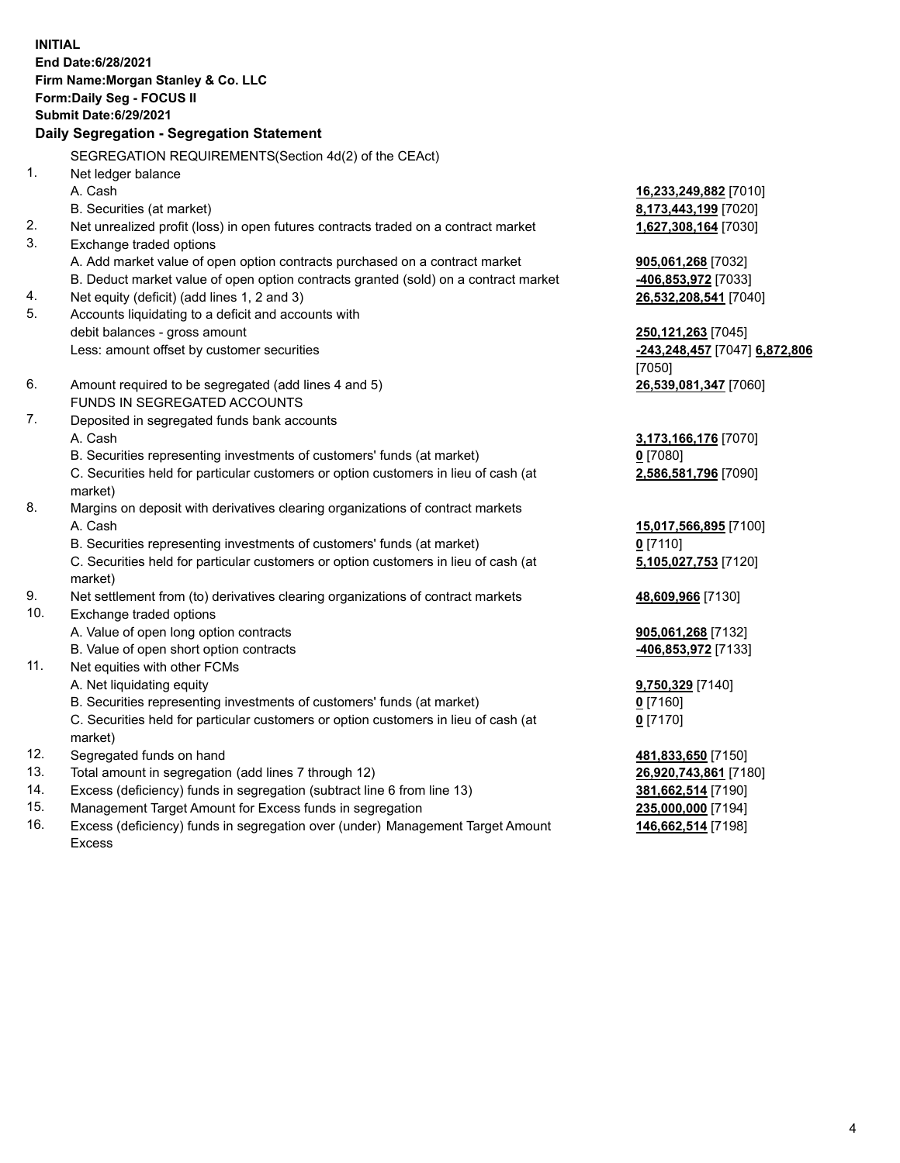**INITIAL End Date:6/28/2021 Firm Name:Morgan Stanley & Co. LLC Form:Daily Seg - FOCUS II Submit Date:6/29/2021 Daily Segregation - Segregation Statement** SEGREGATION REQUIREMENTS(Section 4d(2) of the CEAct) 1. Net ledger balance A. Cash **16,233,249,882** [7010] B. Securities (at market) **8,173,443,199** [7020] 2. Net unrealized profit (loss) in open futures contracts traded on a contract market **1,627,308,164** [7030] 3. Exchange traded options A. Add market value of open option contracts purchased on a contract market **905,061,268** [7032] B. Deduct market value of open option contracts granted (sold) on a contract market **-406,853,972** [7033] 4. Net equity (deficit) (add lines 1, 2 and 3) **26,532,208,541** [7040] 5. Accounts liquidating to a deficit and accounts with debit balances - gross amount **250,121,263** [7045] Less: amount offset by customer securities **-243,248,457** [7047] **6,872,806** [7050] 6. Amount required to be segregated (add lines 4 and 5) **26,539,081,347** [7060] FUNDS IN SEGREGATED ACCOUNTS 7. Deposited in segregated funds bank accounts A. Cash **3,173,166,176** [7070] B. Securities representing investments of customers' funds (at market) **0** [7080] C. Securities held for particular customers or option customers in lieu of cash (at market) **2,586,581,796** [7090] 8. Margins on deposit with derivatives clearing organizations of contract markets A. Cash **15,017,566,895** [7100] B. Securities representing investments of customers' funds (at market) **0** [7110] C. Securities held for particular customers or option customers in lieu of cash (at market) **5,105,027,753** [7120] 9. Net settlement from (to) derivatives clearing organizations of contract markets **48,609,966** [7130] 10. Exchange traded options A. Value of open long option contracts **905,061,268** [7132] B. Value of open short option contracts **and the set of our original contracts -406,853,972** [7133] 11. Net equities with other FCMs A. Net liquidating equity **9,750,329** [7140] B. Securities representing investments of customers' funds (at market) **0** [7160] C. Securities held for particular customers or option customers in lieu of cash (at market) **0** [7170] 12. Segregated funds on hand **481,833,650** [7150] 13. Total amount in segregation (add lines 7 through 12) **26,920,743,861** [7180] 14. Excess (deficiency) funds in segregation (subtract line 6 from line 13) **381,662,514** [7190] 15. Management Target Amount for Excess funds in segregation **235,000,000** [7194]

16. Excess (deficiency) funds in segregation over (under) Management Target Amount Excess

**146,662,514** [7198]